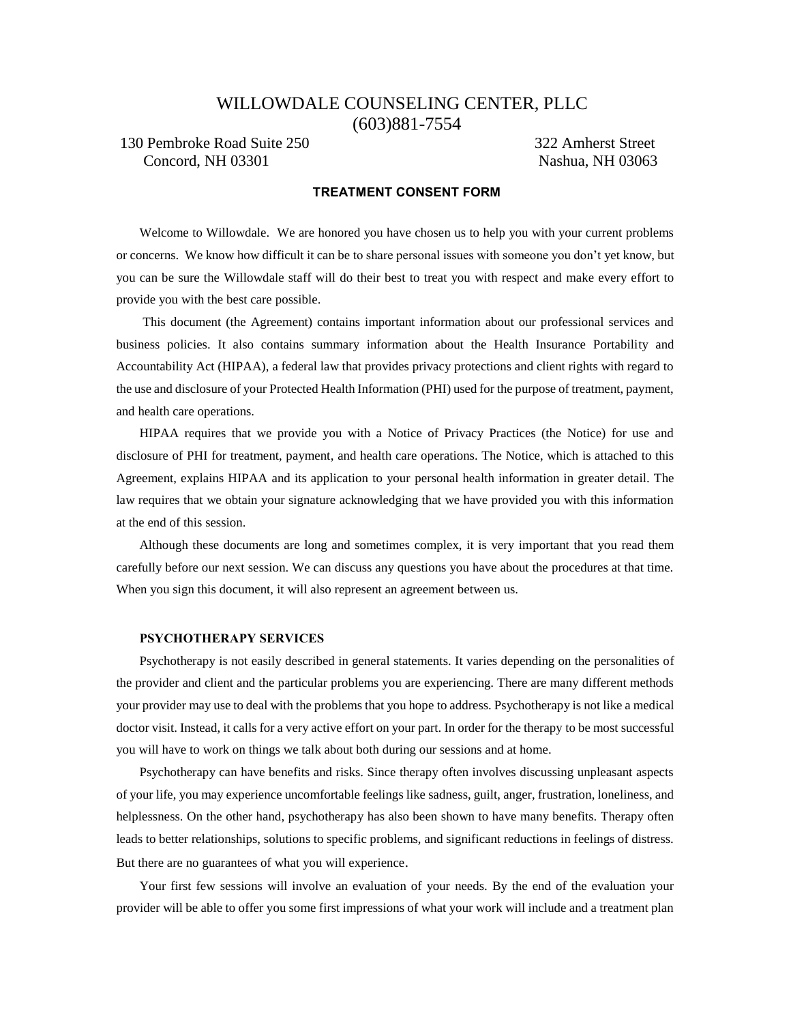## WILLOWDALE COUNSELING CENTER, PLLC (603)881-7554

### 130 Pembroke Road Suite 250 322 Amherst Street Concord, NH 03301 Nashua, NH 03063

### **TREATMENT CONSENT FORM**

Welcome to Willowdale. We are honored you have chosen us to help you with your current problems or concerns. We know how difficult it can be to share personal issues with someone you don't yet know, but you can be sure the Willowdale staff will do their best to treat you with respect and make every effort to provide you with the best care possible.

This document (the Agreement) contains important information about our professional services and business policies. It also contains summary information about the Health Insurance Portability and Accountability Act (HIPAA), a federal law that provides privacy protections and client rights with regard to the use and disclosure of your Protected Health Information (PHI) used for the purpose of treatment, payment, and health care operations.

HIPAA requires that we provide you with a Notice of Privacy Practices (the Notice) for use and disclosure of PHI for treatment, payment, and health care operations. The Notice, which is attached to this Agreement, explains HIPAA and its application to your personal health information in greater detail. The law requires that we obtain your signature acknowledging that we have provided you with this information at the end of this session.

Although these documents are long and sometimes complex, it is very important that you read them carefully before our next session. We can discuss any questions you have about the procedures at that time. When you sign this document, it will also represent an agreement between us.

### **PSYCHOTHERAPY SERVICES**

Psychotherapy is not easily described in general statements. It varies depending on the personalities of the provider and client and the particular problems you are experiencing. There are many different methods your provider may use to deal with the problems that you hope to address. Psychotherapy is not like a medical doctor visit. Instead, it calls for a very active effort on your part. In order for the therapy to be most successful you will have to work on things we talk about both during our sessions and at home.

Psychotherapy can have benefits and risks. Since therapy often involves discussing unpleasant aspects of your life, you may experience uncomfortable feelings like sadness, guilt, anger, frustration, loneliness, and helplessness. On the other hand, psychotherapy has also been shown to have many benefits. Therapy often leads to better relationships, solutions to specific problems, and significant reductions in feelings of distress. But there are no guarantees of what you will experience.

Your first few sessions will involve an evaluation of your needs. By the end of the evaluation your provider will be able to offer you some first impressions of what your work will include and a treatment plan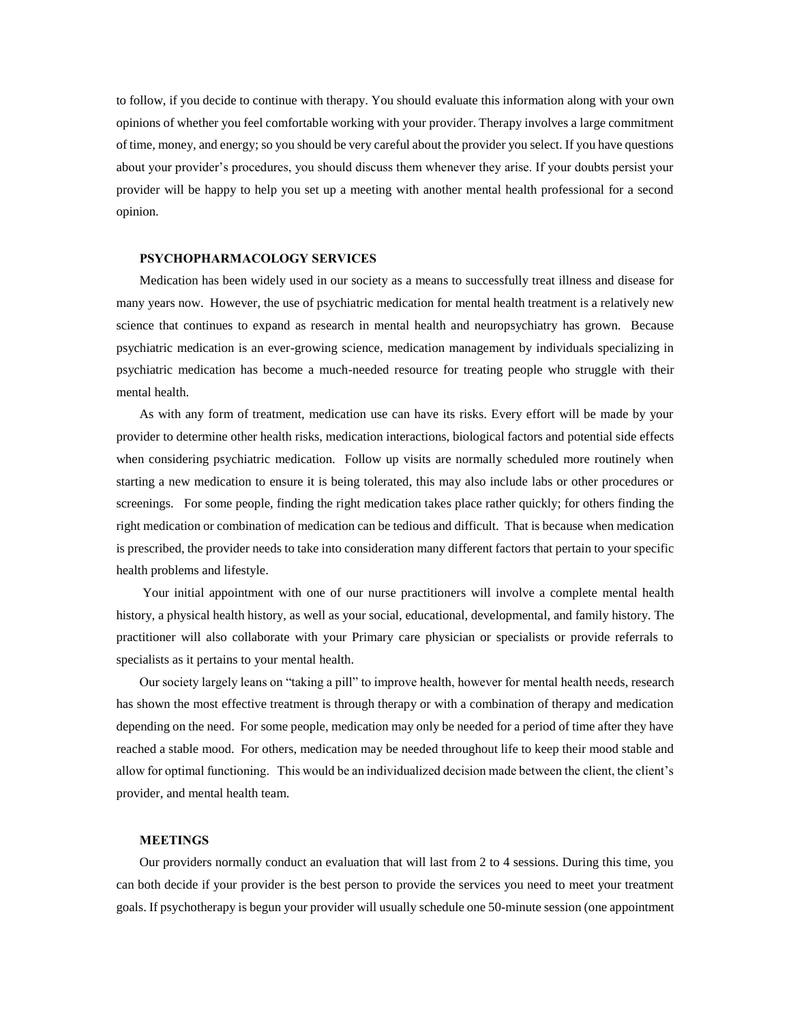to follow, if you decide to continue with therapy. You should evaluate this information along with your own opinions of whether you feel comfortable working with your provider. Therapy involves a large commitment of time, money, and energy; so you should be very careful about the provider you select. If you have questions about your provider's procedures, you should discuss them whenever they arise. If your doubts persist your provider will be happy to help you set up a meeting with another mental health professional for a second opinion.

#### **PSYCHOPHARMACOLOGY SERVICES**

Medication has been widely used in our society as a means to successfully treat illness and disease for many years now. However, the use of psychiatric medication for mental health treatment is a relatively new science that continues to expand as research in mental health and neuropsychiatry has grown. Because psychiatric medication is an ever-growing science, medication management by individuals specializing in psychiatric medication has become a much-needed resource for treating people who struggle with their mental health.

As with any form of treatment, medication use can have its risks. Every effort will be made by your provider to determine other health risks, medication interactions, biological factors and potential side effects when considering psychiatric medication. Follow up visits are normally scheduled more routinely when starting a new medication to ensure it is being tolerated, this may also include labs or other procedures or screenings. For some people, finding the right medication takes place rather quickly; for others finding the right medication or combination of medication can be tedious and difficult. That is because when medication is prescribed, the provider needs to take into consideration many different factors that pertain to your specific health problems and lifestyle.

Your initial appointment with one of our nurse practitioners will involve a complete mental health history, a physical health history, as well as your social, educational, developmental, and family history. The practitioner will also collaborate with your Primary care physician or specialists or provide referrals to specialists as it pertains to your mental health.

Our society largely leans on "taking a pill" to improve health, however for mental health needs, research has shown the most effective treatment is through therapy or with a combination of therapy and medication depending on the need. For some people, medication may only be needed for a period of time after they have reached a stable mood. For others, medication may be needed throughout life to keep their mood stable and allow for optimal functioning. This would be an individualized decision made between the client, the client's provider, and mental health team.

### **MEETINGS**

Our providers normally conduct an evaluation that will last from 2 to 4 sessions. During this time, you can both decide if your provider is the best person to provide the services you need to meet your treatment goals. If psychotherapy is begun your provider will usually schedule one 50-minute session (one appointment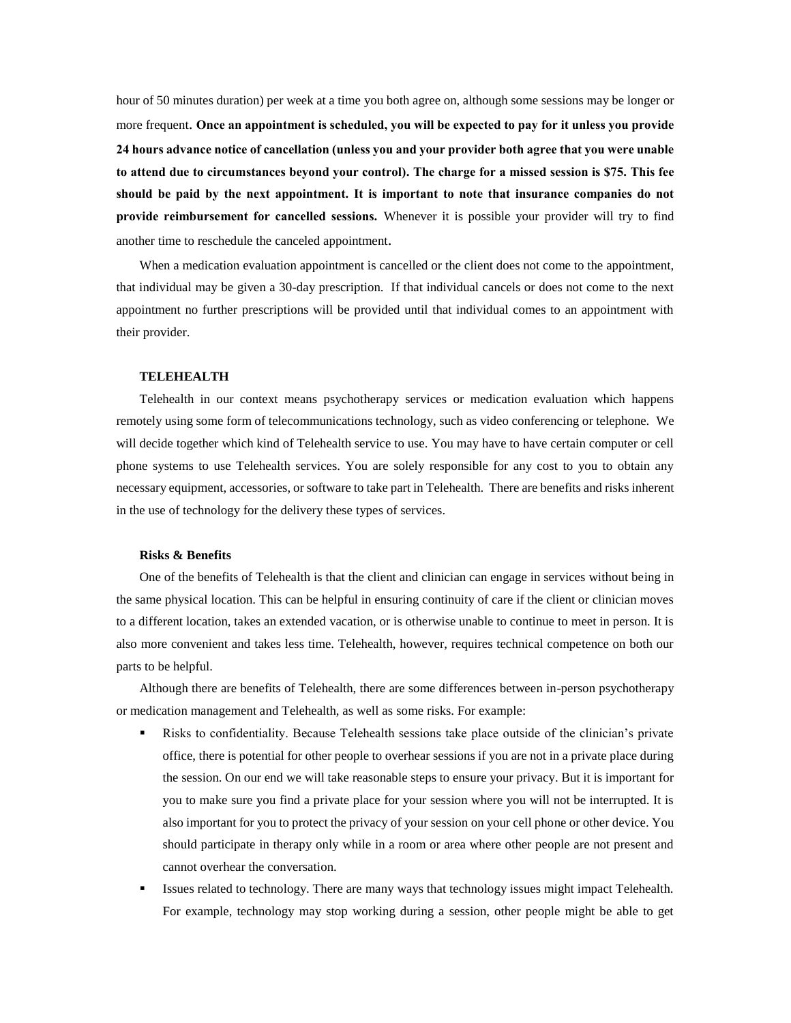hour of 50 minutes duration) per week at a time you both agree on, although some sessions may be longer or more frequent. **Once an appointment is scheduled, you will be expected to pay for it unless you provide 24 hours advance notice of cancellation (unless you and your provider both agree that you were unable to attend due to circumstances beyond your control). The charge for a missed session is \$75. This fee should be paid by the next appointment. It is important to note that insurance companies do not provide reimbursement for cancelled sessions.** Whenever it is possible your provider will try to find another time to reschedule the canceled appointment.

When a medication evaluation appointment is cancelled or the client does not come to the appointment, that individual may be given a 30-day prescription. If that individual cancels or does not come to the next appointment no further prescriptions will be provided until that individual comes to an appointment with their provider.

#### **TELEHEALTH**

Telehealth in our context means psychotherapy services or medication evaluation which happens remotely using some form of telecommunications technology, such as video conferencing or telephone. We will decide together which kind of Telehealth service to use. You may have to have certain computer or cell phone systems to use Telehealth services. You are solely responsible for any cost to you to obtain any necessary equipment, accessories, or software to take part in Telehealth. There are benefits and risks inherent in the use of technology for the delivery these types of services.

#### **Risks & Benefits**

One of the benefits of Telehealth is that the client and clinician can engage in services without being in the same physical location. This can be helpful in ensuring continuity of care if the client or clinician moves to a different location, takes an extended vacation, or is otherwise unable to continue to meet in person. It is also more convenient and takes less time. Telehealth, however, requires technical competence on both our parts to be helpful.

Although there are benefits of Telehealth, there are some differences between in-person psychotherapy or medication management and Telehealth, as well as some risks. For example:

- Risks to confidentiality. Because Telehealth sessions take place outside of the clinician's private office, there is potential for other people to overhear sessions if you are not in a private place during the session. On our end we will take reasonable steps to ensure your privacy. But it is important for you to make sure you find a private place for your session where you will not be interrupted. It is also important for you to protect the privacy of your session on your cell phone or other device. You should participate in therapy only while in a room or area where other people are not present and cannot overhear the conversation.
- Issues related to technology. There are many ways that technology issues might impact Telehealth. For example, technology may stop working during a session, other people might be able to get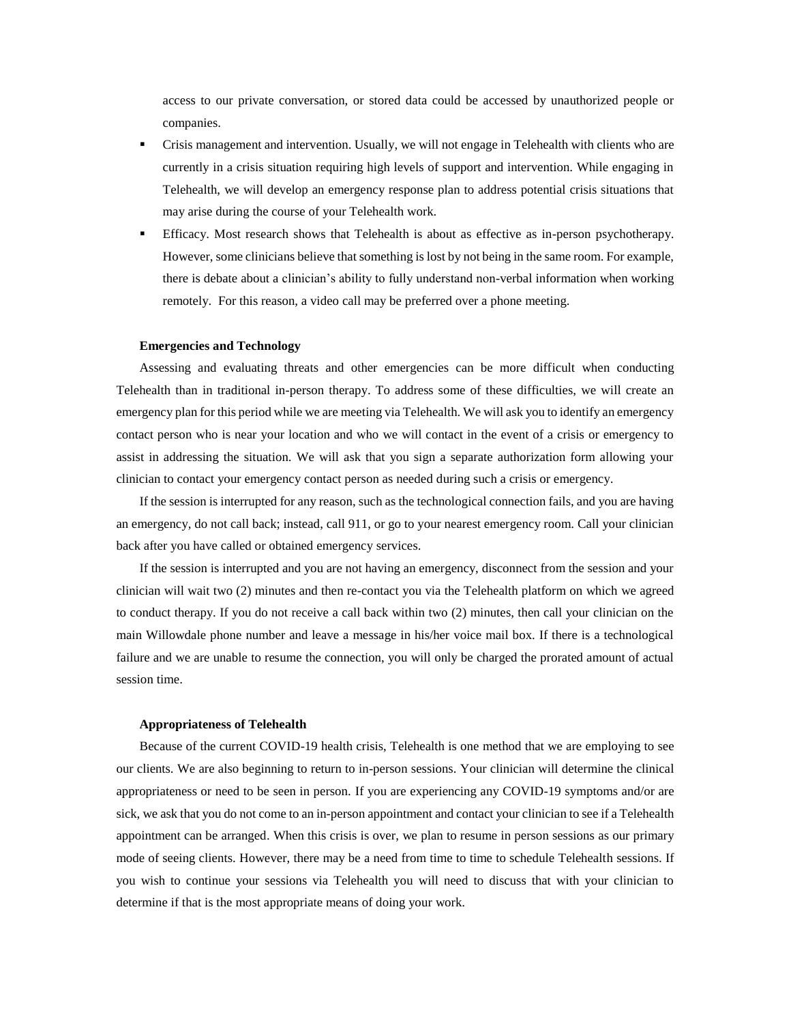access to our private conversation, or stored data could be accessed by unauthorized people or companies.

- Crisis management and intervention. Usually, we will not engage in Telehealth with clients who are currently in a crisis situation requiring high levels of support and intervention. While engaging in Telehealth, we will develop an emergency response plan to address potential crisis situations that may arise during the course of your Telehealth work.
- Efficacy. Most research shows that Telehealth is about as effective as in-person psychotherapy. However, some clinicians believe that something is lost by not being in the same room. For example, there is debate about a clinician's ability to fully understand non-verbal information when working remotely. For this reason, a video call may be preferred over a phone meeting.

#### **Emergencies and Technology**

Assessing and evaluating threats and other emergencies can be more difficult when conducting Telehealth than in traditional in-person therapy. To address some of these difficulties, we will create an emergency plan for this period while we are meeting via Telehealth. We will ask you to identify an emergency contact person who is near your location and who we will contact in the event of a crisis or emergency to assist in addressing the situation. We will ask that you sign a separate authorization form allowing your clinician to contact your emergency contact person as needed during such a crisis or emergency.

If the session is interrupted for any reason, such as the technological connection fails, and you are having an emergency, do not call back; instead, call 911, or go to your nearest emergency room. Call your clinician back after you have called or obtained emergency services.

If the session is interrupted and you are not having an emergency, disconnect from the session and your clinician will wait two (2) minutes and then re-contact you via the Telehealth platform on which we agreed to conduct therapy. If you do not receive a call back within two (2) minutes, then call your clinician on the main Willowdale phone number and leave a message in his/her voice mail box. If there is a technological failure and we are unable to resume the connection, you will only be charged the prorated amount of actual session time.

#### **Appropriateness of Telehealth**

Because of the current COVID-19 health crisis, Telehealth is one method that we are employing to see our clients. We are also beginning to return to in-person sessions. Your clinician will determine the clinical appropriateness or need to be seen in person. If you are experiencing any COVID-19 symptoms and/or are sick, we ask that you do not come to an in-person appointment and contact your clinician to see if a Telehealth appointment can be arranged. When this crisis is over, we plan to resume in person sessions as our primary mode of seeing clients. However, there may be a need from time to time to schedule Telehealth sessions. If you wish to continue your sessions via Telehealth you will need to discuss that with your clinician to determine if that is the most appropriate means of doing your work.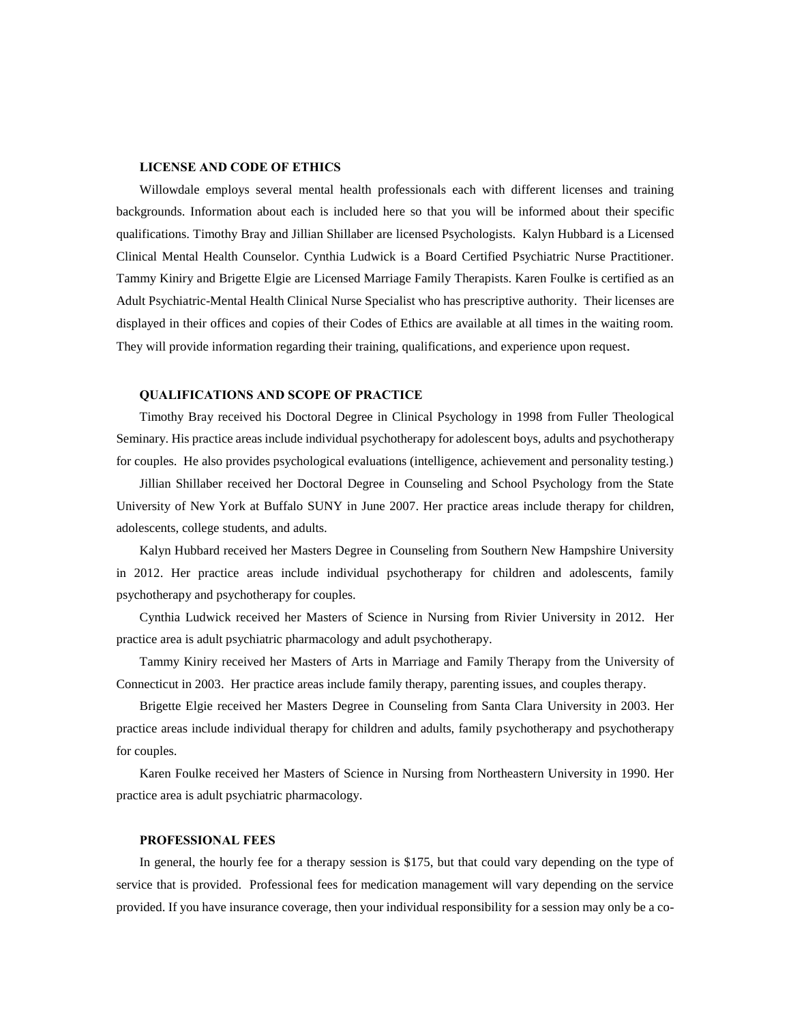#### **LICENSE AND CODE OF ETHICS**

Willowdale employs several mental health professionals each with different licenses and training backgrounds. Information about each is included here so that you will be informed about their specific qualifications. Timothy Bray and Jillian Shillaber are licensed Psychologists. Kalyn Hubbard is a Licensed Clinical Mental Health Counselor. Cynthia Ludwick is a Board Certified Psychiatric Nurse Practitioner. Tammy Kiniry and Brigette Elgie are Licensed Marriage Family Therapists. Karen Foulke is certified as an Adult Psychiatric-Mental Health Clinical Nurse Specialist who has prescriptive authority. Their licenses are displayed in their offices and copies of their Codes of Ethics are available at all times in the waiting room. They will provide information regarding their training, qualifications, and experience upon request.

#### **QUALIFICATIONS AND SCOPE OF PRACTICE**

Timothy Bray received his Doctoral Degree in Clinical Psychology in 1998 from Fuller Theological Seminary. His practice areas include individual psychotherapy for adolescent boys, adults and psychotherapy for couples. He also provides psychological evaluations (intelligence, achievement and personality testing.)

Jillian Shillaber received her Doctoral Degree in Counseling and School Psychology from the State University of New York at Buffalo SUNY in June 2007. Her practice areas include therapy for children, adolescents, college students, and adults.

Kalyn Hubbard received her Masters Degree in Counseling from Southern New Hampshire University in 2012. Her practice areas include individual psychotherapy for children and adolescents, family psychotherapy and psychotherapy for couples.

Cynthia Ludwick received her Masters of Science in Nursing from Rivier University in 2012. Her practice area is adult psychiatric pharmacology and adult psychotherapy.

Tammy Kiniry received her Masters of Arts in Marriage and Family Therapy from the University of Connecticut in 2003. Her practice areas include family therapy, parenting issues, and couples therapy.

Brigette Elgie received her Masters Degree in Counseling from Santa Clara University in 2003. Her practice areas include individual therapy for children and adults, family psychotherapy and psychotherapy for couples.

Karen Foulke received her Masters of Science in Nursing from Northeastern University in 1990. Her practice area is adult psychiatric pharmacology.

### **PROFESSIONAL FEES**

In general, the hourly fee for a therapy session is \$175, but that could vary depending on the type of service that is provided. Professional fees for medication management will vary depending on the service provided. If you have insurance coverage, then your individual responsibility for a session may only be a co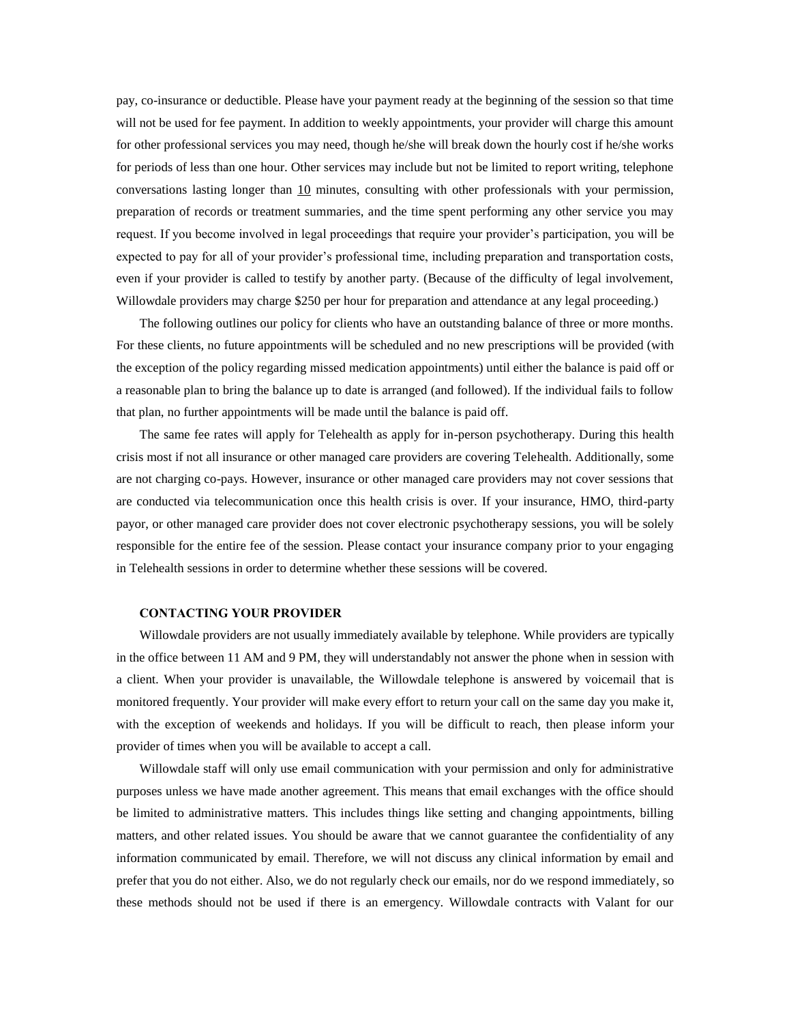pay, co-insurance or deductible. Please have your payment ready at the beginning of the session so that time will not be used for fee payment. In addition to weekly appointments, your provider will charge this amount for other professional services you may need, though he/she will break down the hourly cost if he/she works for periods of less than one hour. Other services may include but not be limited to report writing, telephone conversations lasting longer than 10 minutes, consulting with other professionals with your permission, preparation of records or treatment summaries, and the time spent performing any other service you may request. If you become involved in legal proceedings that require your provider's participation, you will be expected to pay for all of your provider's professional time, including preparation and transportation costs, even if your provider is called to testify by another party. (Because of the difficulty of legal involvement, Willowdale providers may charge \$250 per hour for preparation and attendance at any legal proceeding.)

The following outlines our policy for clients who have an outstanding balance of three or more months. For these clients, no future appointments will be scheduled and no new prescriptions will be provided (with the exception of the policy regarding missed medication appointments) until either the balance is paid off or a reasonable plan to bring the balance up to date is arranged (and followed). If the individual fails to follow that plan, no further appointments will be made until the balance is paid off.

The same fee rates will apply for Telehealth as apply for in-person psychotherapy. During this health crisis most if not all insurance or other managed care providers are covering Telehealth. Additionally, some are not charging co-pays. However, insurance or other managed care providers may not cover sessions that are conducted via telecommunication once this health crisis is over. If your insurance, HMO, third-party payor, or other managed care provider does not cover electronic psychotherapy sessions, you will be solely responsible for the entire fee of the session. Please contact your insurance company prior to your engaging in Telehealth sessions in order to determine whether these sessions will be covered.

#### **CONTACTING YOUR PROVIDER**

Willowdale providers are not usually immediately available by telephone. While providers are typically in the office between 11 AM and 9 PM, they will understandably not answer the phone when in session with a client. When your provider is unavailable, the Willowdale telephone is answered by voicemail that is monitored frequently. Your provider will make every effort to return your call on the same day you make it, with the exception of weekends and holidays. If you will be difficult to reach, then please inform your provider of times when you will be available to accept a call.

Willowdale staff will only use email communication with your permission and only for administrative purposes unless we have made another agreement. This means that email exchanges with the office should be limited to administrative matters. This includes things like setting and changing appointments, billing matters, and other related issues. You should be aware that we cannot guarantee the confidentiality of any information communicated by email. Therefore, we will not discuss any clinical information by email and prefer that you do not either. Also, we do not regularly check our emails, nor do we respond immediately, so these methods should not be used if there is an emergency. Willowdale contracts with Valant for our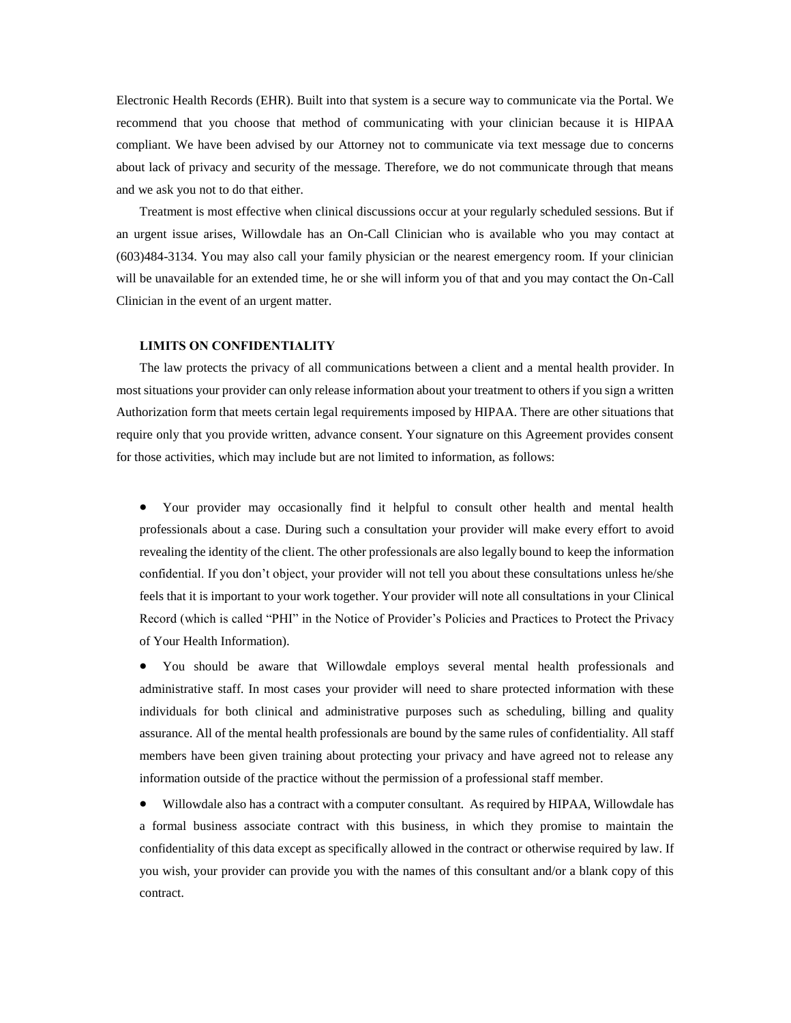Electronic Health Records (EHR). Built into that system is a secure way to communicate via the Portal. We recommend that you choose that method of communicating with your clinician because it is HIPAA compliant. We have been advised by our Attorney not to communicate via text message due to concerns about lack of privacy and security of the message. Therefore, we do not communicate through that means and we ask you not to do that either.

Treatment is most effective when clinical discussions occur at your regularly scheduled sessions. But if an urgent issue arises, Willowdale has an On-Call Clinician who is available who you may contact at (603)484-3134. You may also call your family physician or the nearest emergency room. If your clinician will be unavailable for an extended time, he or she will inform you of that and you may contact the On-Call Clinician in the event of an urgent matter.

### **LIMITS ON CONFIDENTIALITY**

The law protects the privacy of all communications between a client and a mental health provider. In most situations your provider can only release information about your treatment to others if you sign a written Authorization form that meets certain legal requirements imposed by HIPAA. There are other situations that require only that you provide written, advance consent. Your signature on this Agreement provides consent for those activities, which may include but are not limited to information, as follows:

 Your provider may occasionally find it helpful to consult other health and mental health professionals about a case. During such a consultation your provider will make every effort to avoid revealing the identity of the client. The other professionals are also legally bound to keep the information confidential. If you don't object, your provider will not tell you about these consultations unless he/she feels that it is important to your work together. Your provider will note all consultations in your Clinical Record (which is called "PHI" in the Notice of Provider's Policies and Practices to Protect the Privacy of Your Health Information).

 You should be aware that Willowdale employs several mental health professionals and administrative staff. In most cases your provider will need to share protected information with these individuals for both clinical and administrative purposes such as scheduling, billing and quality assurance. All of the mental health professionals are bound by the same rules of confidentiality. All staff members have been given training about protecting your privacy and have agreed not to release any information outside of the practice without the permission of a professional staff member.

 Willowdale also has a contract with a computer consultant. As required by HIPAA, Willowdale has a formal business associate contract with this business, in which they promise to maintain the confidentiality of this data except as specifically allowed in the contract or otherwise required by law. If you wish, your provider can provide you with the names of this consultant and/or a blank copy of this contract.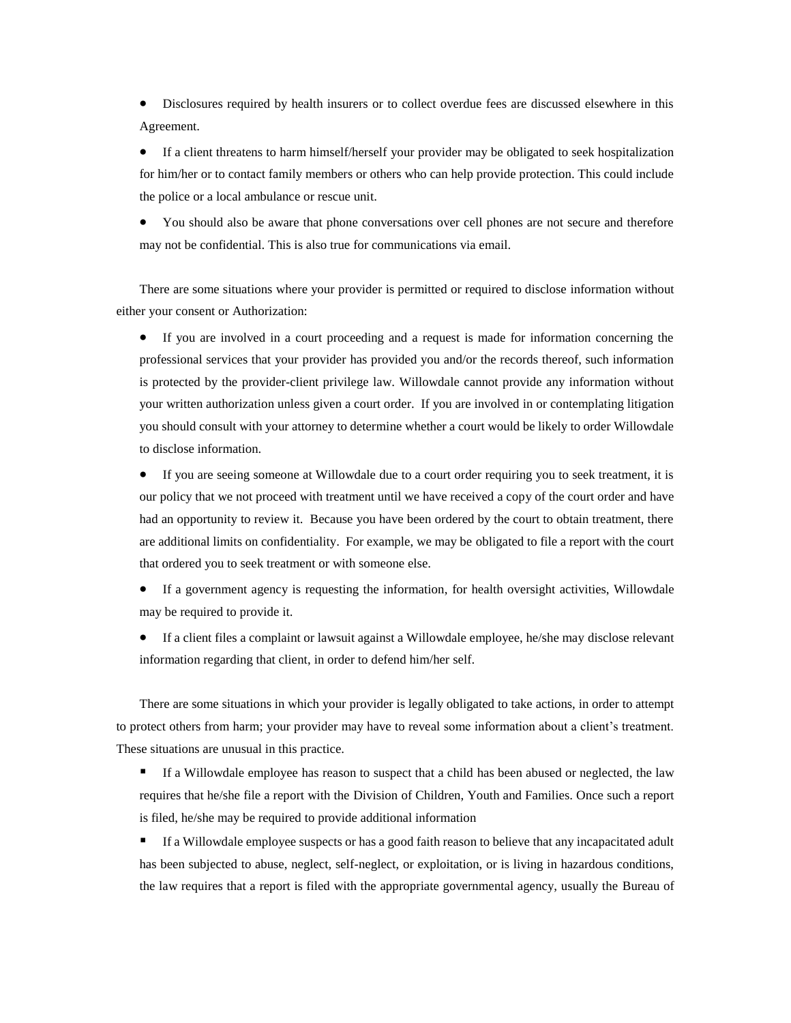Disclosures required by health insurers or to collect overdue fees are discussed elsewhere in this Agreement.

 If a client threatens to harm himself/herself your provider may be obligated to seek hospitalization for him/her or to contact family members or others who can help provide protection. This could include the police or a local ambulance or rescue unit.

 You should also be aware that phone conversations over cell phones are not secure and therefore may not be confidential. This is also true for communications via email.

There are some situations where your provider is permitted or required to disclose information without either your consent or Authorization:

 If you are involved in a court proceeding and a request is made for information concerning the professional services that your provider has provided you and/or the records thereof, such information is protected by the provider-client privilege law. Willowdale cannot provide any information without your written authorization unless given a court order. If you are involved in or contemplating litigation you should consult with your attorney to determine whether a court would be likely to order Willowdale to disclose information.

 If you are seeing someone at Willowdale due to a court order requiring you to seek treatment, it is our policy that we not proceed with treatment until we have received a copy of the court order and have had an opportunity to review it. Because you have been ordered by the court to obtain treatment, there are additional limits on confidentiality. For example, we may be obligated to file a report with the court that ordered you to seek treatment or with someone else.

 If a government agency is requesting the information, for health oversight activities, Willowdale may be required to provide it.

 If a client files a complaint or lawsuit against a Willowdale employee, he/she may disclose relevant information regarding that client, in order to defend him/her self.

There are some situations in which your provider is legally obligated to take actions, in order to attempt to protect others from harm; your provider may have to reveal some information about a client's treatment. These situations are unusual in this practice.

 If a Willowdale employee has reason to suspect that a child has been abused or neglected, the law requires that he/she file a report with the Division of Children, Youth and Families. Once such a report is filed, he/she may be required to provide additional information

If a Willowdale employee suspects or has a good faith reason to believe that any incapacitated adult has been subjected to abuse, neglect, self-neglect, or exploitation, or is living in hazardous conditions, the law requires that a report is filed with the appropriate governmental agency, usually the Bureau of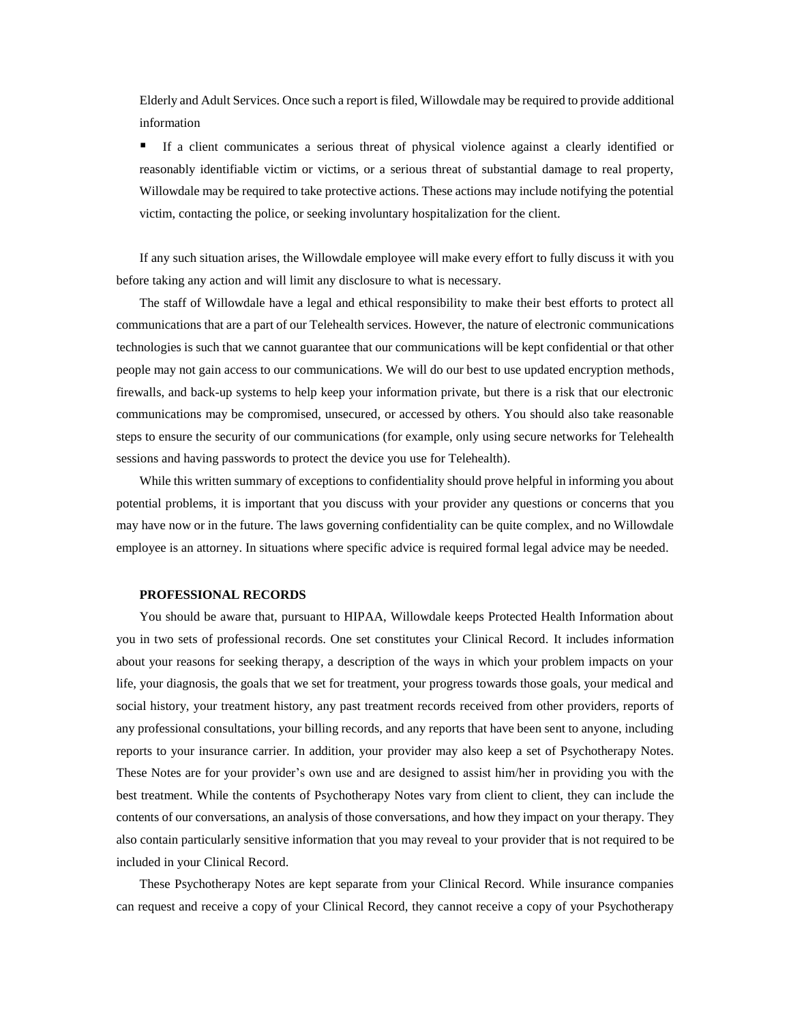Elderly and Adult Services. Once such a report is filed, Willowdale may be required to provide additional information

 If a client communicates a serious threat of physical violence against a clearly identified or reasonably identifiable victim or victims, or a serious threat of substantial damage to real property, Willowdale may be required to take protective actions. These actions may include notifying the potential victim, contacting the police, or seeking involuntary hospitalization for the client.

If any such situation arises, the Willowdale employee will make every effort to fully discuss it with you before taking any action and will limit any disclosure to what is necessary.

The staff of Willowdale have a legal and ethical responsibility to make their best efforts to protect all communications that are a part of our Telehealth services. However, the nature of electronic communications technologies is such that we cannot guarantee that our communications will be kept confidential or that other people may not gain access to our communications. We will do our best to use updated encryption methods, firewalls, and back-up systems to help keep your information private, but there is a risk that our electronic communications may be compromised, unsecured, or accessed by others. You should also take reasonable steps to ensure the security of our communications (for example, only using secure networks for Telehealth sessions and having passwords to protect the device you use for Telehealth).

While this written summary of exceptions to confidentiality should prove helpful in informing you about potential problems, it is important that you discuss with your provider any questions or concerns that you may have now or in the future. The laws governing confidentiality can be quite complex, and no Willowdale employee is an attorney. In situations where specific advice is required formal legal advice may be needed.

#### **PROFESSIONAL RECORDS**

You should be aware that, pursuant to HIPAA, Willowdale keeps Protected Health Information about you in two sets of professional records. One set constitutes your Clinical Record. It includes information about your reasons for seeking therapy, a description of the ways in which your problem impacts on your life, your diagnosis, the goals that we set for treatment, your progress towards those goals, your medical and social history, your treatment history, any past treatment records received from other providers, reports of any professional consultations, your billing records, and any reports that have been sent to anyone, including reports to your insurance carrier. In addition, your provider may also keep a set of Psychotherapy Notes. These Notes are for your provider's own use and are designed to assist him/her in providing you with the best treatment. While the contents of Psychotherapy Notes vary from client to client, they can include the contents of our conversations, an analysis of those conversations, and how they impact on your therapy. They also contain particularly sensitive information that you may reveal to your provider that is not required to be included in your Clinical Record.

These Psychotherapy Notes are kept separate from your Clinical Record. While insurance companies can request and receive a copy of your Clinical Record, they cannot receive a copy of your Psychotherapy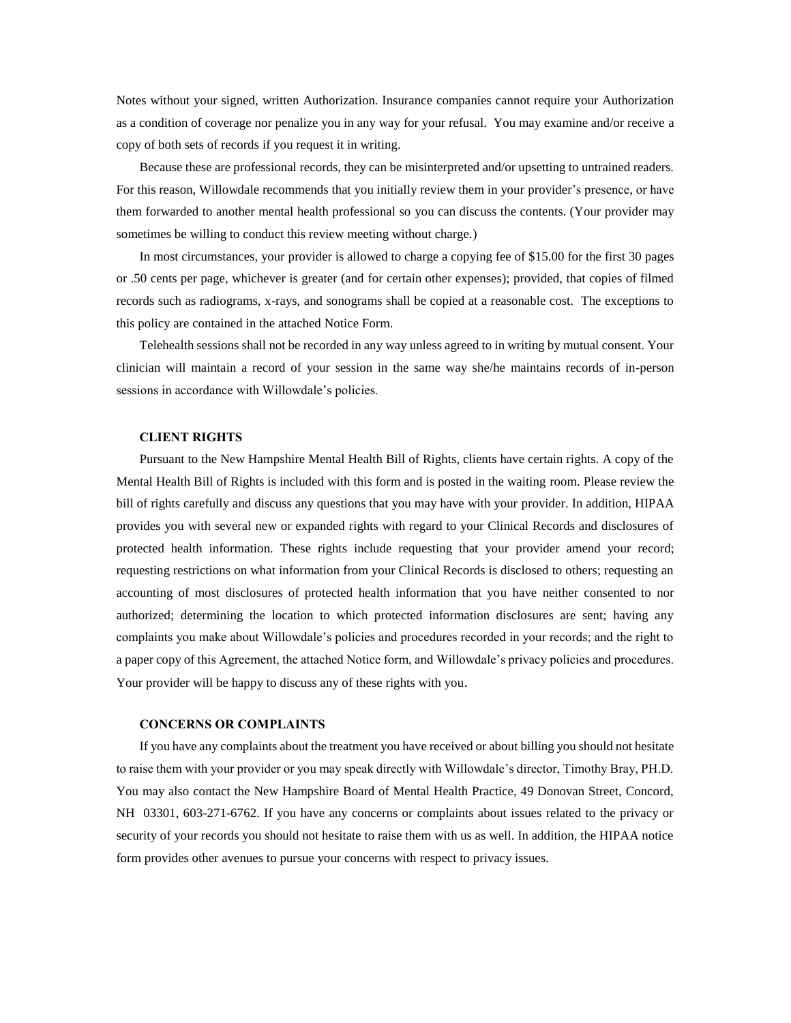Notes without your signed, written Authorization. Insurance companies cannot require your Authorization as a condition of coverage nor penalize you in any way for your refusal. You may examine and/or receive a copy of both sets of records if you request it in writing.

Because these are professional records, they can be misinterpreted and/or upsetting to untrained readers. For this reason, Willowdale recommends that you initially review them in your provider's presence, or have them forwarded to another mental health professional so you can discuss the contents. (Your provider may sometimes be willing to conduct this review meeting without charge.)

In most circumstances, your provider is allowed to charge a copying fee of \$15.00 for the first 30 pages or .50 cents per page, whichever is greater (and for certain other expenses); provided, that copies of filmed records such as radiograms, x-rays, and sonograms shall be copied at a reasonable cost. The exceptions to this policy are contained in the attached Notice Form.

Telehealth sessions shall not be recorded in any way unless agreed to in writing by mutual consent. Your clinician will maintain a record of your session in the same way she/he maintains records of in-person sessions in accordance with Willowdale's policies.

#### **CLIENT RIGHTS**

Pursuant to the New Hampshire Mental Health Bill of Rights, clients have certain rights. A copy of the Mental Health Bill of Rights is included with this form and is posted in the waiting room. Please review the bill of rights carefully and discuss any questions that you may have with your provider. In addition, HIPAA provides you with several new or expanded rights with regard to your Clinical Records and disclosures of protected health information. These rights include requesting that your provider amend your record; requesting restrictions on what information from your Clinical Records is disclosed to others; requesting an accounting of most disclosures of protected health information that you have neither consented to nor authorized; determining the location to which protected information disclosures are sent; having any complaints you make about Willowdale's policies and procedures recorded in your records; and the right to a paper copy of this Agreement, the attached Notice form, and Willowdale's privacy policies and procedures. Your provider will be happy to discuss any of these rights with you.

### **CONCERNS OR COMPLAINTS**

If you have any complaints about the treatment you have received or about billing you should not hesitate to raise them with your provider or you may speak directly with Willowdale's director, Timothy Bray, PH.D. You may also contact the New Hampshire Board of Mental Health Practice, 49 Donovan Street, Concord, NH 03301, 603-271-6762. If you have any concerns or complaints about issues related to the privacy or security of your records you should not hesitate to raise them with us as well. In addition, the HIPAA notice form provides other avenues to pursue your concerns with respect to privacy issues.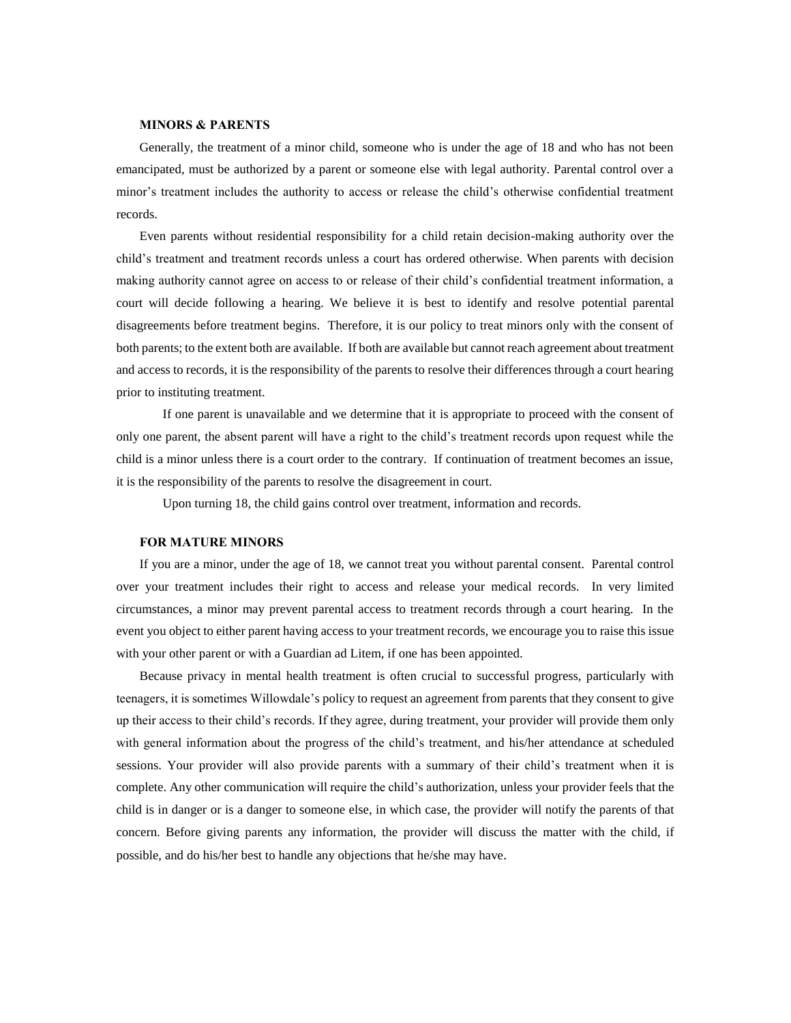#### **MINORS & PARENTS**

Generally, the treatment of a minor child, someone who is under the age of 18 and who has not been emancipated, must be authorized by a parent or someone else with legal authority. Parental control over a minor's treatment includes the authority to access or release the child's otherwise confidential treatment records.

Even parents without residential responsibility for a child retain decision-making authority over the child's treatment and treatment records unless a court has ordered otherwise. When parents with decision making authority cannot agree on access to or release of their child's confidential treatment information, a court will decide following a hearing. We believe it is best to identify and resolve potential parental disagreements before treatment begins. Therefore, it is our policy to treat minors only with the consent of both parents; to the extent both are available. If both are available but cannot reach agreement about treatment and access to records, it is the responsibility of the parents to resolve their differences through a court hearing prior to instituting treatment.

If one parent is unavailable and we determine that it is appropriate to proceed with the consent of only one parent, the absent parent will have a right to the child's treatment records upon request while the child is a minor unless there is a court order to the contrary. If continuation of treatment becomes an issue, it is the responsibility of the parents to resolve the disagreement in court.

Upon turning 18, the child gains control over treatment, information and records.

#### **FOR MATURE MINORS**

If you are a minor, under the age of 18, we cannot treat you without parental consent. Parental control over your treatment includes their right to access and release your medical records. In very limited circumstances, a minor may prevent parental access to treatment records through a court hearing. In the event you object to either parent having access to your treatment records, we encourage you to raise this issue with your other parent or with a Guardian ad Litem, if one has been appointed.

Because privacy in mental health treatment is often crucial to successful progress, particularly with teenagers, it is sometimes Willowdale's policy to request an agreement from parents that they consent to give up their access to their child's records. If they agree, during treatment, your provider will provide them only with general information about the progress of the child's treatment, and his/her attendance at scheduled sessions. Your provider will also provide parents with a summary of their child's treatment when it is complete. Any other communication will require the child's authorization, unless your provider feels that the child is in danger or is a danger to someone else, in which case, the provider will notify the parents of that concern. Before giving parents any information, the provider will discuss the matter with the child, if possible, and do his/her best to handle any objections that he/she may have.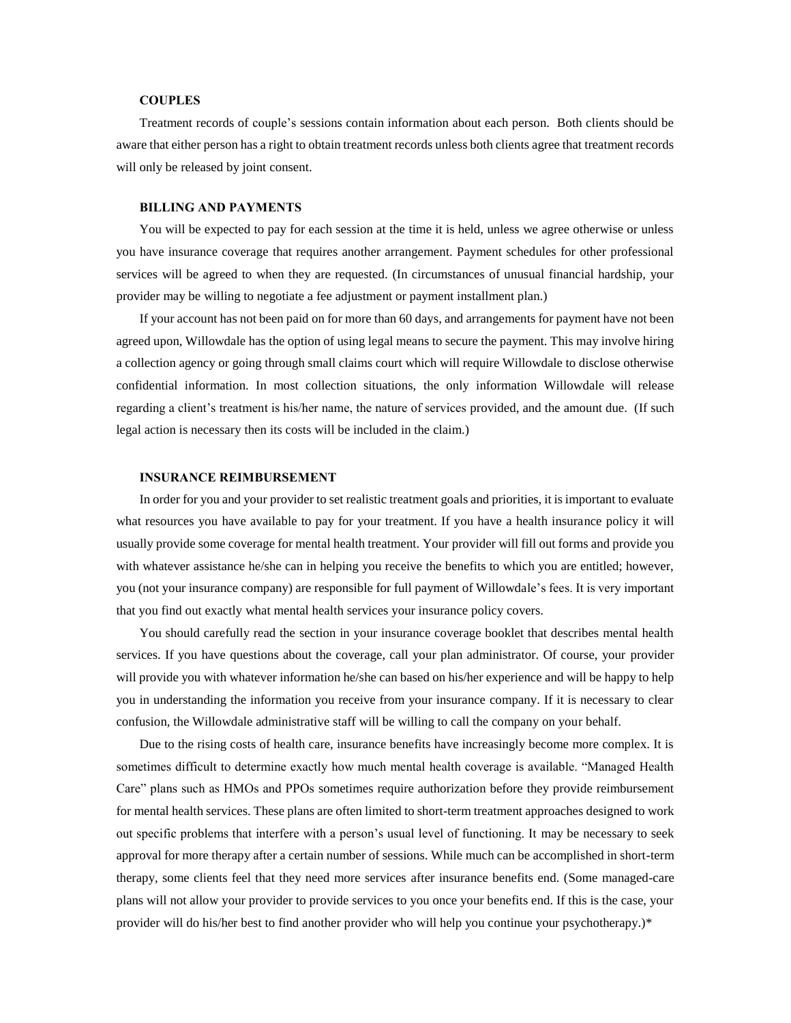### **COUPLES**

Treatment records of couple's sessions contain information about each person. Both clients should be aware that either person has a right to obtain treatment records unless both clients agree that treatment records will only be released by joint consent.

### **BILLING AND PAYMENTS**

You will be expected to pay for each session at the time it is held, unless we agree otherwise or unless you have insurance coverage that requires another arrangement. Payment schedules for other professional services will be agreed to when they are requested. (In circumstances of unusual financial hardship, your provider may be willing to negotiate a fee adjustment or payment installment plan.)

If your account has not been paid on for more than 60 days, and arrangements for payment have not been agreed upon, Willowdale has the option of using legal means to secure the payment. This may involve hiring a collection agency or going through small claims court which will require Willowdale to disclose otherwise confidential information. In most collection situations, the only information Willowdale will release regarding a client's treatment is his/her name, the nature of services provided, and the amount due. (If such legal action is necessary then its costs will be included in the claim.)

#### **INSURANCE REIMBURSEMENT**

In order for you and your provider to set realistic treatment goals and priorities, it is important to evaluate what resources you have available to pay for your treatment. If you have a health insurance policy it will usually provide some coverage for mental health treatment. Your provider will fill out forms and provide you with whatever assistance he/she can in helping you receive the benefits to which you are entitled; however, you (not your insurance company) are responsible for full payment of Willowdale's fees. It is very important that you find out exactly what mental health services your insurance policy covers.

You should carefully read the section in your insurance coverage booklet that describes mental health services. If you have questions about the coverage, call your plan administrator. Of course, your provider will provide you with whatever information he/she can based on his/her experience and will be happy to help you in understanding the information you receive from your insurance company. If it is necessary to clear confusion, the Willowdale administrative staff will be willing to call the company on your behalf.

Due to the rising costs of health care, insurance benefits have increasingly become more complex. It is sometimes difficult to determine exactly how much mental health coverage is available. "Managed Health Care" plans such as HMOs and PPOs sometimes require authorization before they provide reimbursement for mental health services. These plans are often limited to short-term treatment approaches designed to work out specific problems that interfere with a person's usual level of functioning. It may be necessary to seek approval for more therapy after a certain number of sessions. While much can be accomplished in short-term therapy, some clients feel that they need more services after insurance benefits end. (Some managed-care plans will not allow your provider to provide services to you once your benefits end. If this is the case, your provider will do his/her best to find another provider who will help you continue your psychotherapy.)\*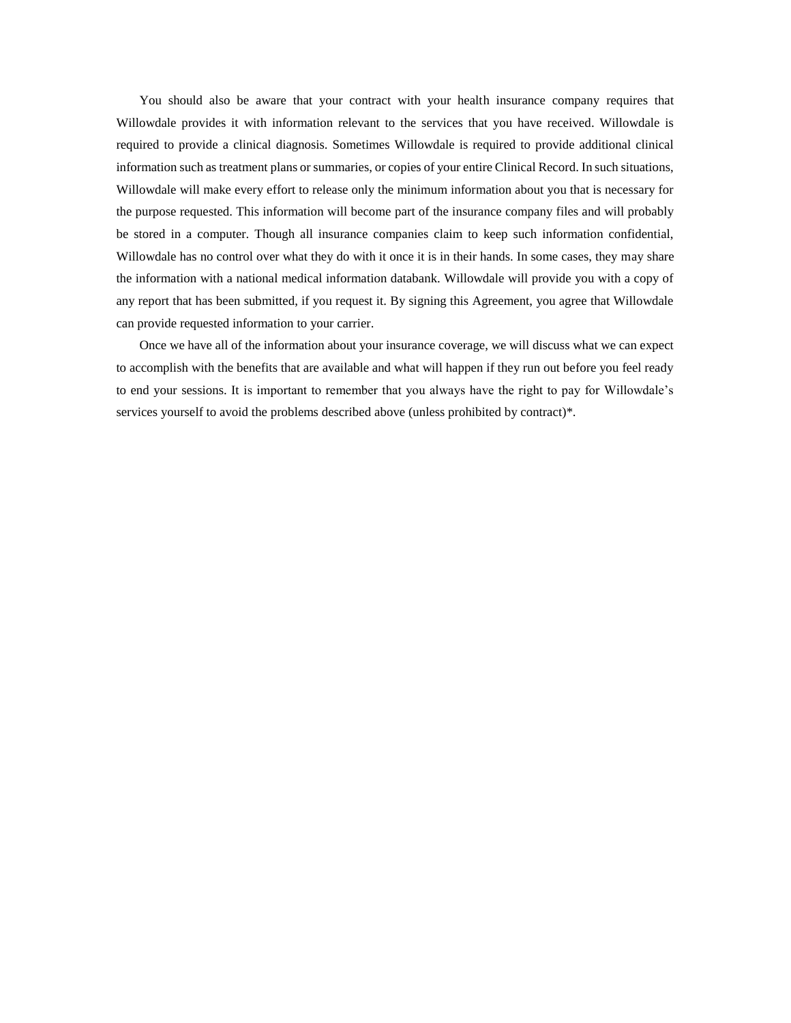You should also be aware that your contract with your health insurance company requires that Willowdale provides it with information relevant to the services that you have received. Willowdale is required to provide a clinical diagnosis. Sometimes Willowdale is required to provide additional clinical information such as treatment plans or summaries, or copies of your entire Clinical Record. In such situations, Willowdale will make every effort to release only the minimum information about you that is necessary for the purpose requested. This information will become part of the insurance company files and will probably be stored in a computer. Though all insurance companies claim to keep such information confidential, Willowdale has no control over what they do with it once it is in their hands. In some cases, they may share the information with a national medical information databank. Willowdale will provide you with a copy of any report that has been submitted, if you request it. By signing this Agreement, you agree that Willowdale can provide requested information to your carrier.

Once we have all of the information about your insurance coverage, we will discuss what we can expect to accomplish with the benefits that are available and what will happen if they run out before you feel ready to end your sessions. It is important to remember that you always have the right to pay for Willowdale's services yourself to avoid the problems described above (unless prohibited by contract)\*.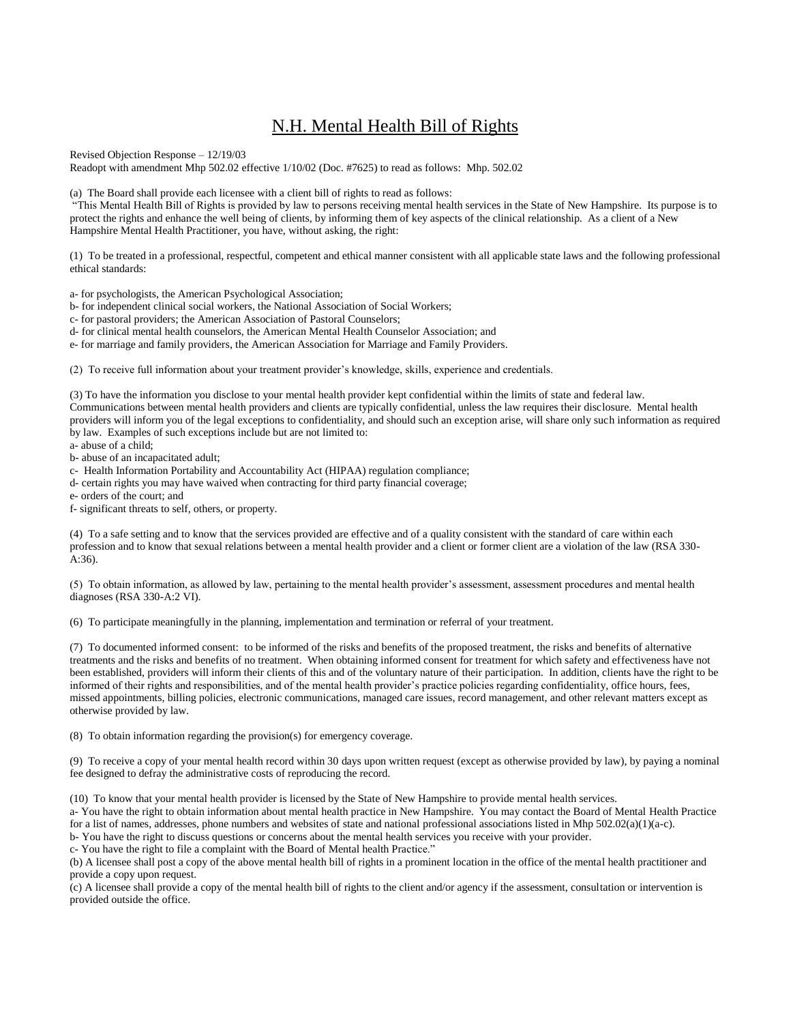# N.H. Mental Health Bill of Rights

Revised Objection Response – 12/19/03

Readopt with amendment Mhp 502.02 effective 1/10/02 (Doc. #7625) to read as follows: Mhp. 502.02

(a) The Board shall provide each licensee with a client bill of rights to read as follows:

"This Mental Health Bill of Rights is provided by law to persons receiving mental health services in the State of New Hampshire. Its purpose is to protect the rights and enhance the well being of clients, by informing them of key aspects of the clinical relationship. As a client of a New Hampshire Mental Health Practitioner, you have, without asking, the right:

(1) To be treated in a professional, respectful, competent and ethical manner consistent with all applicable state laws and the following professional ethical standards:

a- for psychologists, the American Psychological Association;

b- for independent clinical social workers, the National Association of Social Workers;

c- for pastoral providers; the American Association of Pastoral Counselors;

d- for clinical mental health counselors, the American Mental Health Counselor Association; and

e- for marriage and family providers, the American Association for Marriage and Family Providers.

(2) To receive full information about your treatment provider's knowledge, skills, experience and credentials.

(3) To have the information you disclose to your mental health provider kept confidential within the limits of state and federal law.

Communications between mental health providers and clients are typically confidential, unless the law requires their disclosure. Mental health providers will inform you of the legal exceptions to confidentiality, and should such an exception arise, will share only such information as required by law. Examples of such exceptions include but are not limited to:

a- abuse of a child;

b- abuse of an incapacitated adult;

c- Health Information Portability and Accountability Act (HIPAA) regulation compliance;

d- certain rights you may have waived when contracting for third party financial coverage;

e- orders of the court; and

f- significant threats to self, others, or property.

(4) To a safe setting and to know that the services provided are effective and of a quality consistent with the standard of care within each profession and to know that sexual relations between a mental health provider and a client or former client are a violation of the law (RSA 330-  $A:36$ ).

(5) To obtain information, as allowed by law, pertaining to the mental health provider's assessment, assessment procedures and mental health diagnoses (RSA 330-A:2 VI).

(6) To participate meaningfully in the planning, implementation and termination or referral of your treatment.

(7) To documented informed consent: to be informed of the risks and benefits of the proposed treatment, the risks and benefits of alternative treatments and the risks and benefits of no treatment. When obtaining informed consent for treatment for which safety and effectiveness have not been established, providers will inform their clients of this and of the voluntary nature of their participation. In addition, clients have the right to be informed of their rights and responsibilities, and of the mental health provider's practice policies regarding confidentiality, office hours, fees, missed appointments, billing policies, electronic communications, managed care issues, record management, and other relevant matters except as otherwise provided by law.

(8) To obtain information regarding the provision(s) for emergency coverage.

(9) To receive a copy of your mental health record within 30 days upon written request (except as otherwise provided by law), by paying a nominal fee designed to defray the administrative costs of reproducing the record.

(10) To know that your mental health provider is licensed by the State of New Hampshire to provide mental health services.

a- You have the right to obtain information about mental health practice in New Hampshire. You may contact the Board of Mental Health Practice for a list of names, addresses, phone numbers and websites of state and national professional associations listed in Mhp 502.02(a)(1)(a-c).

b- You have the right to discuss questions or concerns about the mental health services you receive with your provider.

c- You have the right to file a complaint with the Board of Mental health Practice."

(b) A licensee shall post a copy of the above mental health bill of rights in a prominent location in the office of the mental health practitioner and provide a copy upon request.

(c) A licensee shall provide a copy of the mental health bill of rights to the client and/or agency if the assessment, consultation or intervention is provided outside the office.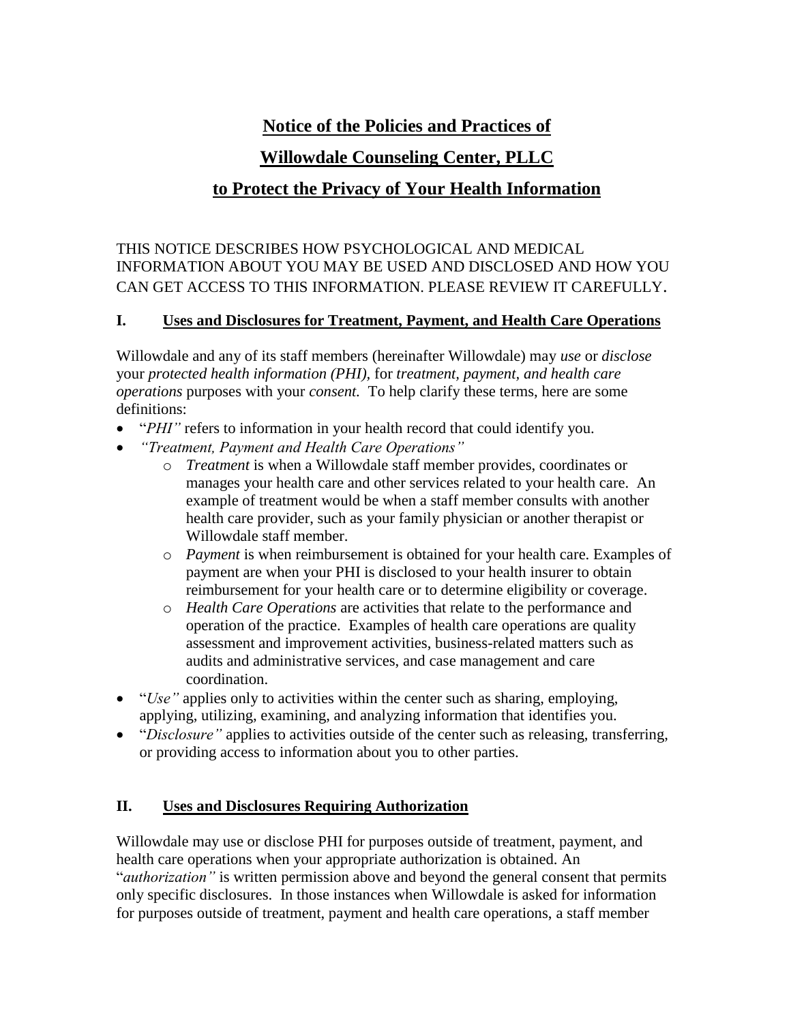# **Notice of the Policies and Practices of**

# **Willowdale Counseling Center, PLLC**

# **to Protect the Privacy of Your Health Information**

# THIS NOTICE DESCRIBES HOW PSYCHOLOGICAL AND MEDICAL INFORMATION ABOUT YOU MAY BE USED AND DISCLOSED AND HOW YOU CAN GET ACCESS TO THIS INFORMATION. PLEASE REVIEW IT CAREFULLY.

# **I. Uses and Disclosures for Treatment, Payment, and Health Care Operations**

Willowdale and any of its staff members (hereinafter Willowdale) may *use* or *disclose*  your *protected health information (PHI),* for *treatment, payment, and health care operations* purposes with your *consent.* To help clarify these terms, here are some definitions:

- "*PHI"* refers to information in your health record that could identify you.
- *"Treatment, Payment and Health Care Operations"*
	- o *Treatment* is when a Willowdale staff member provides, coordinates or manages your health care and other services related to your health care. An example of treatment would be when a staff member consults with another health care provider, such as your family physician or another therapist or Willowdale staff member.
	- o *Payment* is when reimbursement is obtained for your health care. Examples of payment are when your PHI is disclosed to your health insurer to obtain reimbursement for your health care or to determine eligibility or coverage.
	- o *Health Care Operations* are activities that relate to the performance and operation of the practice. Examples of health care operations are quality assessment and improvement activities, business-related matters such as audits and administrative services, and case management and care coordination.
- "*Use*" applies only to activities within the center such as sharing, employing, applying, utilizing, examining, and analyzing information that identifies you.
- "*Disclosure"* applies to activities outside of the center such as releasing, transferring, or providing access to information about you to other parties.

# **II. Uses and Disclosures Requiring Authorization**

Willowdale may use or disclose PHI for purposes outside of treatment, payment, and health care operations when your appropriate authorization is obtained. An "*authorization"* is written permission above and beyond the general consent that permits only specific disclosures. In those instances when Willowdale is asked for information for purposes outside of treatment, payment and health care operations, a staff member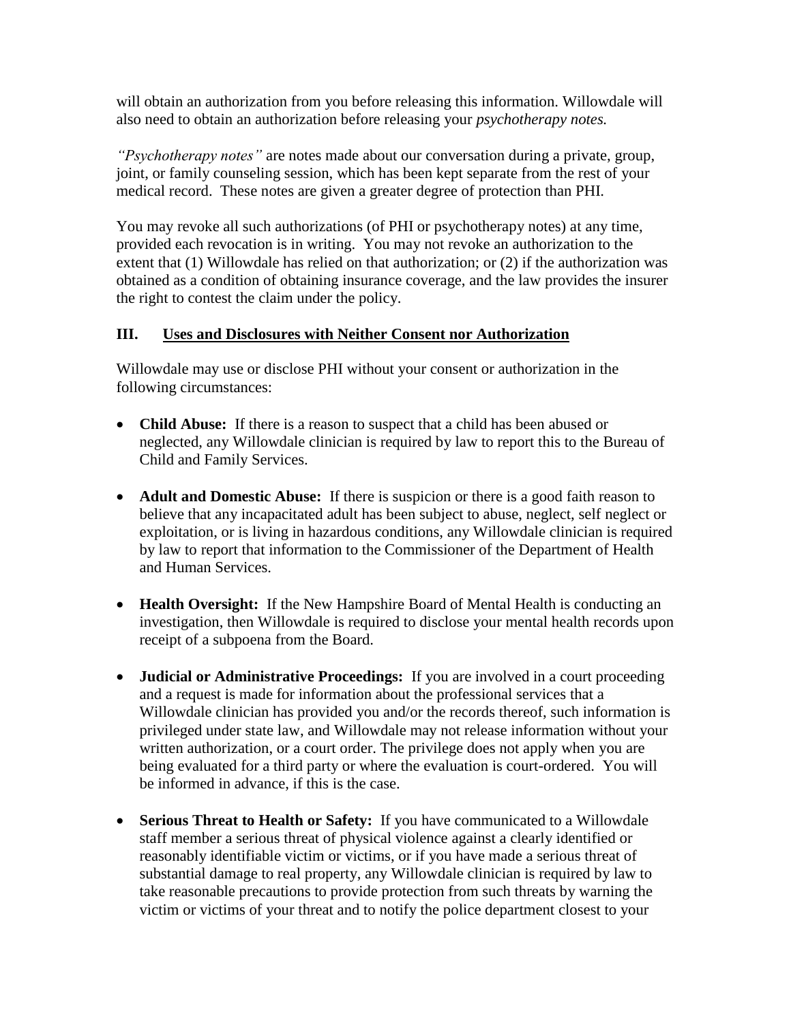will obtain an authorization from you before releasing this information. Willowdale will also need to obtain an authorization before releasing your *psychotherapy notes.*

*"Psychotherapy notes"* are notes made about our conversation during a private, group, joint, or family counseling session, which has been kept separate from the rest of your medical record. These notes are given a greater degree of protection than PHI.

You may revoke all such authorizations (of PHI or psychotherapy notes) at any time, provided each revocation is in writing. You may not revoke an authorization to the extent that (1) Willowdale has relied on that authorization; or (2) if the authorization was obtained as a condition of obtaining insurance coverage, and the law provides the insurer the right to contest the claim under the policy.

## **III. Uses and Disclosures with Neither Consent nor Authorization**

Willowdale may use or disclose PHI without your consent or authorization in the following circumstances:

- **Child Abuse:** If there is a reason to suspect that a child has been abused or neglected, any Willowdale clinician is required by law to report this to the Bureau of Child and Family Services.
- **Adult and Domestic Abuse:** If there is suspicion or there is a good faith reason to believe that any incapacitated adult has been subject to abuse, neglect, self neglect or exploitation, or is living in hazardous conditions, any Willowdale clinician is required by law to report that information to the Commissioner of the Department of Health and Human Services.
- **Health Oversight:** If the New Hampshire Board of Mental Health is conducting an investigation, then Willowdale is required to disclose your mental health records upon receipt of a subpoena from the Board.
- **Judicial or Administrative Proceedings:** If you are involved in a court proceeding and a request is made for information about the professional services that a Willowdale clinician has provided you and/or the records thereof, such information is privileged under state law, and Willowdale may not release information without your written authorization, or a court order. The privilege does not apply when you are being evaluated for a third party or where the evaluation is court-ordered. You will be informed in advance, if this is the case.
- **Serious Threat to Health or Safety:** If you have communicated to a Willowdale staff member a serious threat of physical violence against a clearly identified or reasonably identifiable victim or victims, or if you have made a serious threat of substantial damage to real property, any Willowdale clinician is required by law to take reasonable precautions to provide protection from such threats by warning the victim or victims of your threat and to notify the police department closest to your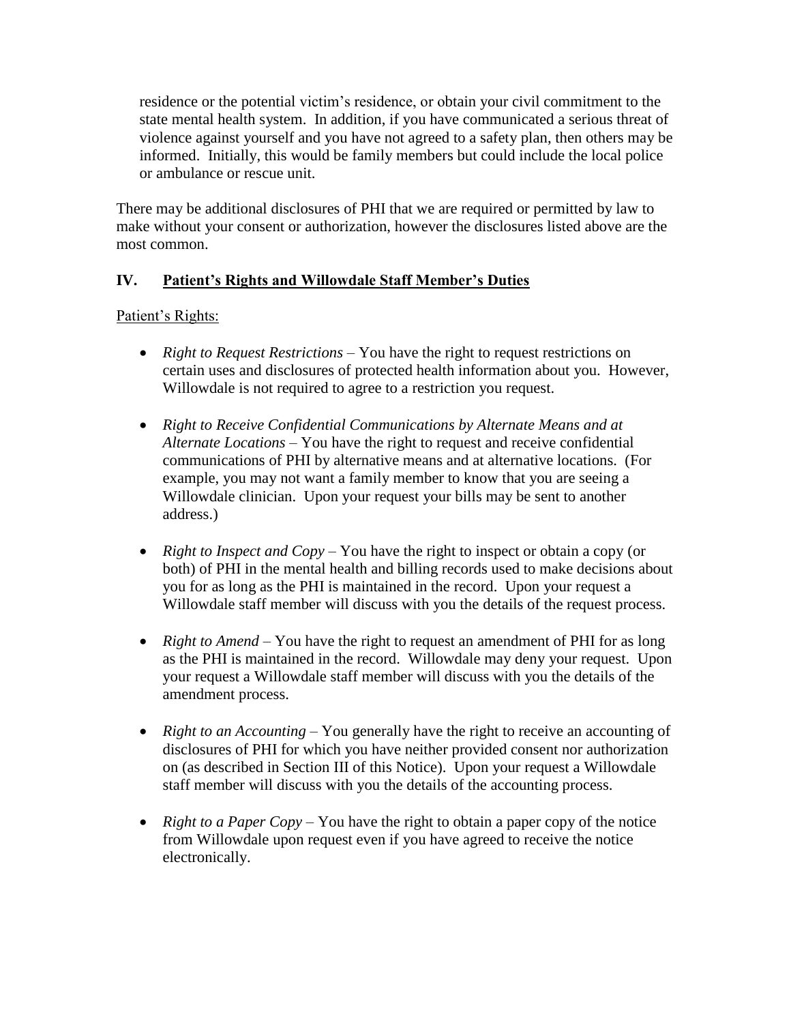residence or the potential victim's residence, or obtain your civil commitment to the state mental health system. In addition, if you have communicated a serious threat of violence against yourself and you have not agreed to a safety plan, then others may be informed. Initially, this would be family members but could include the local police or ambulance or rescue unit.

There may be additional disclosures of PHI that we are required or permitted by law to make without your consent or authorization, however the disclosures listed above are the most common.

# **IV. Patient's Rights and Willowdale Staff Member's Duties**

Patient's Rights:

- *Right to Request Restrictions* You have the right to request restrictions on certain uses and disclosures of protected health information about you. However, Willowdale is not required to agree to a restriction you request.
- *Right to Receive Confidential Communications by Alternate Means and at Alternate Locations –* You have the right to request and receive confidential communications of PHI by alternative means and at alternative locations. (For example, you may not want a family member to know that you are seeing a Willowdale clinician. Upon your request your bills may be sent to another address.)
- *Right to Inspect and Copy* You have the right to inspect or obtain a copy (or both) of PHI in the mental health and billing records used to make decisions about you for as long as the PHI is maintained in the record. Upon your request a Willowdale staff member will discuss with you the details of the request process.
- *Right to Amend –* You have the right to request an amendment of PHI for as long as the PHI is maintained in the record. Willowdale may deny your request. Upon your request a Willowdale staff member will discuss with you the details of the amendment process.
- *Right to an Accounting –* You generally have the right to receive an accounting of disclosures of PHI for which you have neither provided consent nor authorization on (as described in Section III of this Notice). Upon your request a Willowdale staff member will discuss with you the details of the accounting process.
- *Right to a Paper Copy* You have the right to obtain a paper copy of the notice from Willowdale upon request even if you have agreed to receive the notice electronically.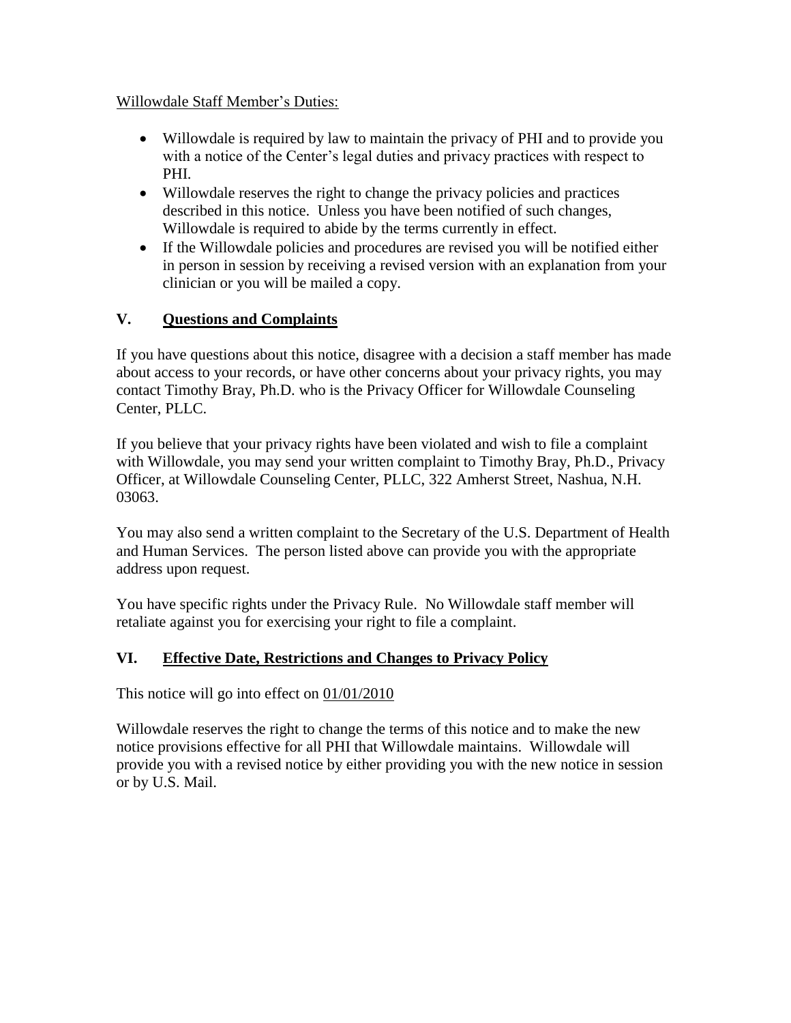## Willowdale Staff Member's Duties:

- Willowdale is required by law to maintain the privacy of PHI and to provide you with a notice of the Center's legal duties and privacy practices with respect to PHI.
- Willowdale reserves the right to change the privacy policies and practices described in this notice. Unless you have been notified of such changes, Willowdale is required to abide by the terms currently in effect.
- If the Willowdale policies and procedures are revised you will be notified either in person in session by receiving a revised version with an explanation from your clinician or you will be mailed a copy.

# **V. Questions and Complaints**

If you have questions about this notice, disagree with a decision a staff member has made about access to your records, or have other concerns about your privacy rights, you may contact Timothy Bray, Ph.D. who is the Privacy Officer for Willowdale Counseling Center, PLLC.

If you believe that your privacy rights have been violated and wish to file a complaint with Willowdale, you may send your written complaint to Timothy Bray, Ph.D., Privacy Officer, at Willowdale Counseling Center, PLLC, 322 Amherst Street, Nashua, N.H. 03063.

You may also send a written complaint to the Secretary of the U.S. Department of Health and Human Services. The person listed above can provide you with the appropriate address upon request.

You have specific rights under the Privacy Rule. No Willowdale staff member will retaliate against you for exercising your right to file a complaint.

# **VI. Effective Date, Restrictions and Changes to Privacy Policy**

This notice will go into effect on  $01/01/2010$ 

Willowdale reserves the right to change the terms of this notice and to make the new notice provisions effective for all PHI that Willowdale maintains. Willowdale will provide you with a revised notice by either providing you with the new notice in session or by U.S. Mail.